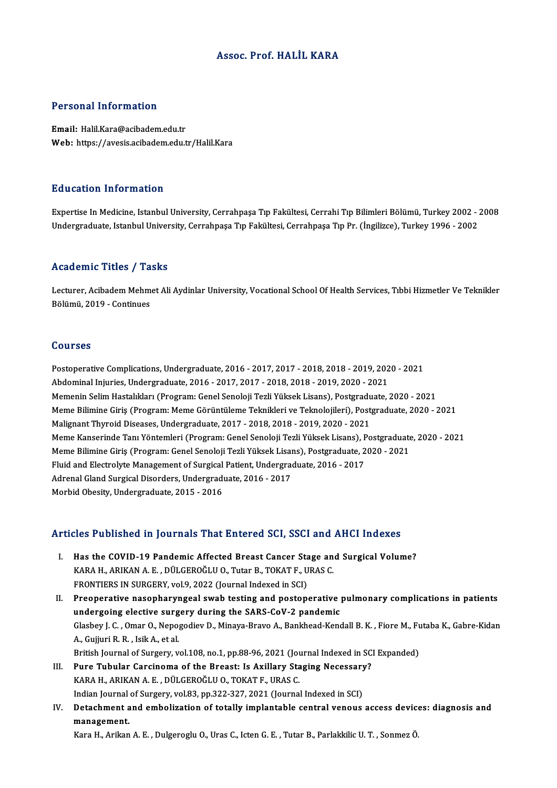### Assoc. Prof.HALİL KARA

### Personal Information

Email: Halil.Kara@acibadem.edu.tr Web: https://avesis.acibadem.edu.tr/Halil.Kara

### Education Information

Education Information<br>Expertise In Medicine, Istanbul University, Cerrahpaşa Tıp Fakültesi, Cerrahi Tıp Bilimleri Bölümü, Turkey 2002 - 2008<br>Undergraduate Istanbul University, Cerrahpasa Tıp Fakültesi, Cerrahpasa Tıp Pr. ( 2u u sutrom minominusion<br>Expertise In Medicine, Istanbul University, Cerrahpaşa Tıp Fakültesi, Cerrahi Tıp Bilimleri Bölümü, Turkey 2002<br>Undergraduate, Istanbul University, Cerrahpaşa Tıp Fakültesi, Cerrahpaşa Tıp Pr. (İng Undergraduate, Istanbul University, Cerrahpaşa Tıp Fakültesi, Cerrahpaşa Tıp Pr. (İngilizce), Turkey 1996 - 2002<br>Academic Titles / Tasks

**Academic Titles / Tasks**<br>Lecturer, Acibadem Mehmet Ali Aydinlar University, Vocational School Of Health Services, Tıbbi Hizmetler Ve Teknikler<br>Rölümü 2019, Continues 1922 - Marco Presson<br>Lecturer, Acibadem Mehm<br>Bölümü, 2019 - Continues Bölümü, 2019 - Continues<br>Courses

Courses<br>Postoperative Complications, Undergraduate, 2016 - 2017, 2017 - 2018, 2018 - 2019, 2020 - 2021<br>Abdominal Injuries, Undergraduate, 2016 - 2017, 2017, 2019, 2019, 2019, 2020, 2021 Sources<br>Postoperative Complications, Undergraduate, 2016 - 2017, 2017 - 2018, 2018 - 2019, 202<br>Abdominal Injuries, Undergraduate, 2016 - 2017, 2017 - 2018, 2018 - 2019, 2020 - 2021<br>Memanin Solim Hastalıkları (Programı Cana Postoperative Complications, Undergraduate, 2016 - 2017, 2017 - 2018, 2018 - 2019, 2020 - 2021<br>Abdominal Injuries, Undergraduate, 2016 - 2017, 2017 - 2018, 2018 - 2019, 2020 - 2021<br>Memenin Selim Hastalıkları (Program: Gene Abdominal Injuries, Undergraduate, 2016 - 2017, 2017 - 2018, 2018 - 2019, 2020 - 2021<br>Memenin Selim Hastalıkları (Program: Genel Senoloji Tezli Yüksek Lisans), Postgraduate, 2020 - 2021<br>Meme Bilimine Giriş (Program: Meme G Memenin Selim Hastalıkları (Program: Genel Senoloji Tezli Yüksek Lisans), Postgradu<br>Meme Bilimine Giriş (Program: Meme Görüntüleme Teknikleri ve Teknolojileri), Post<sub>i</sub><br>Malignant Thyroid Diseases, Undergraduate, 2017 - 201 Meme Kanserinde Tanı Yöntemleri (Program: Genel Senoloji Tezli Yüksek Lisans), Postgraduate, 2020 - 2021<br>Meme Bilimine Giriş (Program: Genel Senoloji Tezli Yüksek Lisans), Postgraduate, 2020 - 2021 Malignant Thyroid Diseases, Undergraduate, 2017 - 2018, 2018 - 2019, 2020 - 2021<br>Meme Kanserinde Tanı Yöntemleri (Program: Genel Senoloji Tezli Yüksek Lisans), Postgraduate<br>Meme Bilimine Giriş (Program: Genel Senoloji Tezl Meme Kanserinde Tanı Yöntemleri (Program: Genel Senoloji Tezli Yüksek Lisans), F<br>Meme Bilimine Giriş (Program: Genel Senoloji Tezli Yüksek Lisans), Postgraduate, 2<br>Fluid and Electrolyte Management of Surgical Patient, Unde Meme Bilimine Giriş (Program: Genel Senoloji Tezli Yüksek Lisai<br>Fluid and Electrolyte Management of Surgical Patient, Undergrad<br>Adrenal Gland Surgical Disorders, Undergraduate, 2016 - 2017<br>Morbid Obesity, Undergraduate, 20 Fluid and Electrolyte Management of Surgical<br>Adrenal Gland Surgical Disorders, Undergradı<br>Morbid Obesity, Undergraduate, 2015 - 2016

# Morbid Obesity, Undergraduate, 2015 - 2016<br>Articles Published in Journals That Entered SCI, SSCI and AHCI Indexes

rticles Published in Journals That Entered SCI, SSCI and AHCI Indexes<br>I. Has the COVID-19 Pandemic Affected Breast Cancer Stage and Surgical Volume?<br>KARA H. ARIKAN A.E. DÜLGEROČLUO Tutar B. TOKAT E. URAS C KES TUSHSHEU III JOUTHUIS THUC ENTERTED SOL, SSOT UND.<br>Has the COVID-19 Pandemic Affected Breast Cancer Stage an<br>KARA H., ARIKAN A. E., DÜLGEROĞLU O., Tutar B., TOKAT F., URAS C. Has the COVID-19 Pandemic Affected Breast Cancer Standard Expanding Canadian Canadian Standard F., U<br>FRONTIERS IN SURGERY, vol.9, 2022 (Journal Indexed in SCI)<br>Preenerative nasepharyngeal swab testing and nesten KARA H., ARIKAN A. E. , DÜLGEROĞLU O., Tutar B., TOKAT F., URAS C.<br>FRONTIERS IN SURGERY, vol.9, 2022 (Journal Indexed in SCI)<br>II. Preoperative nasopharyngeal swab testing and postoperative pulmonary complications in patien

FRONTIERS IN SURGERY, vol.9, 2022 (Journal Indexed in SCI)<br>Preoperative nasopharyngeal swab testing and postoperative<br>undergoing elective surgery during the SARS-CoV-2 pandemic<br>Clasboy L.C., Omar O. Nanogodiov D. Minaya Pr Preoperative nasopharyngeal swab testing and postoperative pulmonary complications in patients<br>undergoing elective surgery during the SARS-CoV-2 pandemic<br>Glasbey J. C. , Omar O., Nepogodiev D., Minaya-Bravo A., Bankhead-Ke undergoing elective surgery during the SARS-CoV-2 pandemic<br>Glasbey J. C. , Omar O., Nepogodiev D., Minaya-Bravo A., Bankhead-Kendall B. K. , Fiore M., Fi<br>A., Gujjuri R. R. , Isik A., et al.<br>British Journal of Surgery, vol. Glasbey J. C., Omar O., Nepogodiev D., Minaya-Bravo A., Bankhead-Kendall B. K., Fiore M., Futaba K., Gabre-Kidan A., Gujjuri R. R. , Isik A., et al.<br>British Journal of Surgery, vol.108, no.1, pp.88-96, 2021 (Journal Indexed in SC)<br>III. Pure Tubular Carcinoma of the Breast: Is Axillary Staging Necessary?<br>KARA H. ARIKAN A. E. DÜLGEROČL

- KARAH.,ARIKANA.E. ,DÜLGEROĞLUO.,TOKATF.,URASC. Pure Tubular Carcinoma of the Breast: Is Axillary Staging Necessary<br>KARA H., ARIKAN A. E. , DÜLGEROĞLU O., TOKAT F., URAS C.<br>Indian Journal of Surgery, vol.83, pp.322-327, 2021 (Journal Indexed in SCI)<br>Detechment and embel KARA H., ARIKAN A. E. , DÜLGEROĞLU O., TOKAT F., URAS C.<br>Indian Journal of Surgery, vol.83, pp.322-327, 2021 (Journal Indexed in SCI)<br>IV. Detachment and embolization of totally implantable central venous access devices
- Indian Journal of Surgery, vol.83, pp.322-327, 2021 (Journal Indexed in SCI)<br>Detachment and embolization of totally implantable central venous access device<br>management.<br>Kara H., Arikan A. E., Dulgeroglu O., Uras C., Icten Detachment and embolization of totally implantable central venous access device<br>management.<br>Kara H., Arikan A. E. , Dulgeroglu O., Uras C., Icten G. E. , Tutar B., Parlakkilic U. T. , Sonmez Ö.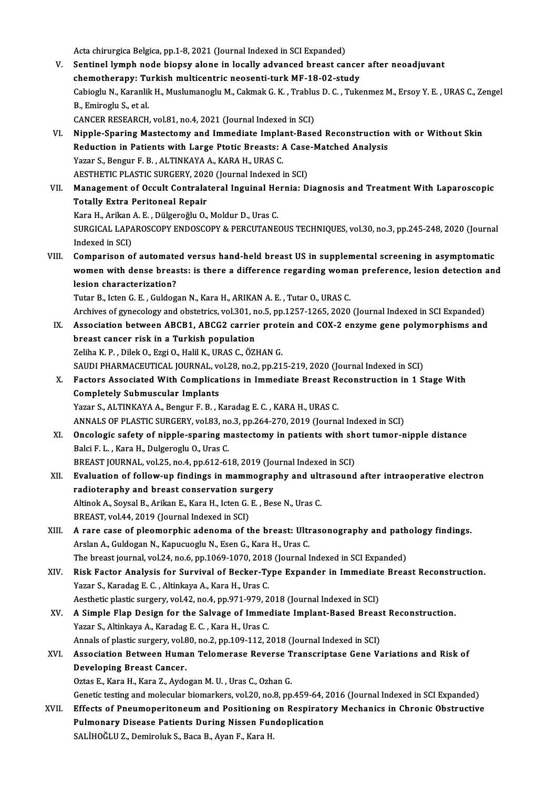- Acta chirurgica Belgica, pp.1-8, 2021 (Journal Indexed in SCI Expanded) Acta chirurgica Belgica, pp.1-8, 2021 (Journal Indexed in SCI Expanded)<br>V. Sentinel lymph node biopsy alone in locally advanced breast cancer after neoadjuvant<br>Abemetherany: Turkish multicantric neosenti turk ME 18.03 stud Acta chirurgica Belgica, pp.1-8, 2021 (Journal Indexed in SCI Expanded)<br>Sentinel lymph node biopsy alone in locally advanced breast cance:<br>chemotherapy: Turkish multicentric neosenti-turk MF-18-02-study<br>Cebiogly N. Karonli Sentinel lymph node biopsy alone in locally advanced breast cancer after neoadjuvant<br>chemotherapy: Turkish multicentric neosenti-turk MF-18-02-study<br>Cabioglu N., Karanlik H., Muslumanoglu M., Cakmak G. K. , Trablus D. C. , **chemotherapy: Tu<br>Cabioglu N., Karanlil<br>B., Emiroglu S., et al.<br>CANCEP PESEAPCU** Cabioglu N., Karanlik H., Muslumanoglu M., Cakmak G. K. , Trablu<br>B., Emiroglu S., et al.<br>CANCER RESEARCH, vol.81, no.4, 2021 (Journal Indexed in SCI)<br>Ninnle Spering Mestestemy and Immediate Implant Base B., Emiroglu S., et al.<br>CANCER RESEARCH, vol.81, no.4, 2021 (Journal Indexed in SCI)<br>VI. Nipple-Sparing Mastectomy and Immediate Implant-Based Reconstruction with or Without Skin<br>Reduction in Patients with Large Ptotic Pre CANCER RESEARCH, vol.81, no.4, 2021 (Journal Indexed in SCI)<br>Nipple-Sparing Mastectomy and Immediate Implant-Based Reconstruction<br>Reduction in Patients with Large Ptotic Breasts: A Case-Matched Analysis<br>Yazar S. Bongur F. Nipple-Sparing Mastectomy and Immediate Impla<br>Reduction in Patients with Large Ptotic Breasts: A<br>Yazar S., Bengur F. B., ALTINKAYA A., KARA H., URAS C.<br>AESTUETIC BLASTIC SUBCERY 2020 (Journal Indoved i Reduction in Patients with Large Ptotic Breasts: A Case<br>Yazar S., Bengur F. B. , ALTINKAYA A., KARA H., URAS C.<br>AESTHETIC PLASTIC SURGERY, 2020 (Journal Indexed in SCI)<br>Manasement of Oscult Controlateral Inquinal Hernia, D Yazar S., Bengur F. B. , ALTINKAYA A., KARA H., URAS C.<br>AESTHETIC PLASTIC SURGERY, 2020 (Journal Indexed in SCI)<br>VII. Management of Occult Contralateral Inguinal Hernia: Diagnosis and Treatment With Laparoscopic<br>Tetell AESTHETIC PLASTIC SURGERY, 202<br>Management of Occult Contrala<br>Totally Extra Peritoneal Repair<br>Kara H. Arikan A. E. Dükanağlu Q Management of Occult Contralateral Inguinal He<br>Totally Extra Peritoneal Repair<br>Kara H., Arikan A. E. , Dülgeroğlu O., Moldur D., Uras C.<br>SURCICAL LARAROSCORY ENDOSCORY & RERCUTANE Totally Extra Peritoneal Repair<br>Kara H., Arikan A. E. , Dülgeroğlu O., Moldur D., Uras C.<br>SURGICAL LAPAROSCOPY ENDOSCOPY & PERCUTANEOUS TECHNIQUES, vol.30, no.3, pp.245-248, 2020 (Journal Kara H., Arikan<br>SURGICAL LAPA<br>Indexed in SCI)<br>Comporison o SURGICAL LAPAROSCOPY ENDOSCOPY & PERCUTANEOUS TECHNIQUES, vol.30, no.3, pp.245-248, 2020 (Journal<br>Indexed in SCI)<br>VIII. Comparison of automated versus hand-held breast US in supplemental screening in asymptomatic<br>we men wi Indexed in SCI)<br>Comparison of automated versus hand-held breast US in supplemental screening in asymptomatic<br>women with dense breasts: is there a difference regarding woman preference, lesion detection and<br>lesion charaster Comparison of automate<br>women with dense breas<br>lesion characterization?<br>Tutar B. Jetan G. E. Culdes lesion characterization?<br>Tutar B., Icten G. E. , Guldogan N., Kara H., ARIKAN A. E. , Tutar O., URAS C. lesion characterization?<br>Tutar B., Icten G. E. , Guldogan N., Kara H., ARIKAN A. E. , Tutar O., URAS C.<br>Archives of gynecology and obstetrics, vol.301, no.5, pp.1257-1265, 2020 (Journal Indexed in SCI Expanded)<br>Association Tutar B., Icten G. E. , Guldogan N., Kara H., ARIKAN A. E. , Tutar O., URAS C.<br>Archives of gynecology and obstetrics, vol.301, no.5, pp.1257-1265, 2020 (Journal Indexed in SCI Expanded)<br>IX. Association between ABCB1, ABCG2 Archives of gynecology and obstetrics, vol.301, n<br>Association between ABCB1, ABCG2 carries<br>breast cancer risk in a Turkish population<br>Zeliha K. B., Dilek O. Eggi O. Holil K. UBAS G. ÖZ! IX. Association between ABCB1, ABCG2 carrier protein and COX-2 enzyme gene polymorphisms and breast cancer risk in a Turkish population<br>Zeliha K. P., Dilek O., Ezgi O., Halil K., URAS C., ÖZHAN G. breast cancer risk in a Turkish population<br>Zeliha K. P. , Dilek O., Ezgi O., Halil K., URAS C., ÖZHAN G.<br>SAUDI PHARMACEUTICAL JOURNAL, vol.28, no.2, pp.215-219, 2020 (Journal Indexed in SCI)<br>Factors Associated With Complic Zeliha K. P. , Dilek O., Ezgi O., Halil K., URAS C., ÖZHAN G.<br>SAUDI PHARMACEUTICAL JOURNAL, vol.28, no.2, pp.215-219, 2020 (Journal Indexed in SCI)<br>X. Factors Associated With Complications in Immediate Breast Reconstructio SAUDI PHARMACEUTICAL JOURNAL, vo<br>Factors Associated With Complicat<br>Completely Submuscular Implants<br>Yazar S. ALTINKAYA A. Bongur E. B. L Factors Associated With Complications in Immediate Breast Represent Completely Submuscular Implants<br>Yazar S., ALTINKAYA A., Bengur F. B. , Karadag E. C. , KARA H., URAS C.<br>ANNALS OF PLASTIC SUPCERY Vel 82, no 3, np 364, 37 Completely Submuscular Implants<br>Yazar S., ALTINKAYA A., Bengur F. B. , Karadag E. C. , KARA H., URAS C.<br>ANNALS OF PLASTIC SURGERY, vol.83, no.3, pp.264-270, 2019 (Journal Indexed in SCI) Yazar S., ALTINKAYA A., Bengur F. B. , Karadag E. C. , KARA H., URAS C.<br>ANNALS OF PLASTIC SURGERY, vol.83, no.3, pp.264-270, 2019 (Journal Indexed in SCI)<br>XI. Oncologic safety of nipple-sparing mastectomy in patients with ANNALS OF PLASTIC SURGERY, vol.83, no<br>Oncologic safety of nipple-sparing m<br>Balci F. L. , Kara H., Dulgeroglu O., Uras C.<br>PREAST JOURNAL vol.25, no 4, nn 612, 61 Oncologic safety of nipple-sparing mastectomy in patients with sh<br>Balci F. L. , Kara H., Dulgeroglu O., Uras C.<br>BREAST JOURNAL, vol.25, no.4, pp.612-618, 2019 (Journal Indexed in SCI)<br>Evaluation of follow un findings in ma Balci F. L. , Kara H., Dulgeroglu O., Uras C.<br>BREAST JOURNAL, vol.25, no.4, pp.612-618, 2019 (Journal Indexed in SCI)<br>XII. Evaluation of follow-up findings in mammography and ultrasound after intraoperative electron<br>re BREAST JOURNAL, vol.25, no.4, pp.612-618, 2019 (Journal Breast conservation surgery<br>radioteraphy and breast conservation surgery<br>Altinok A. Soveel B. Arikan E. Kara H. Joten G. E. Bes Evaluation of follow-up findings in mammography and ult<br>radioteraphy and breast conservation surgery<br>Altinok A., Soysal B., Arikan E., Kara H., Icten G. E. , Bese N., Uras C.<br>PREAST vol.44, 2010 (Journal Indoved in SC) radioteraphy and breast conservation supplies<br>Altinok A., Soysal B., Arikan E., Kara H., Icten G.<br>BREAST, vol.44, 2019 (Journal Indexed in SCI) Altinok A., Soysal B., Arikan E., Kara H., Icten G. E. , Bese N., Uras C.<br>BREAST, vol.44, 2019 (Journal Indexed in SCI)<br>XIII. A rare case of pleomorphic adenoma of the breast: Ultrasonography and pathology findings. BREAST, vol.44, 2019 (Journal Indexed in SCI)<br>A rare case of pleomorphic adenoma of the breast: Ultr<br>Arslan A., Guldogan N., Kapucuoglu N., Esen G., Kara H., Uras C.<br>The breast journal vol.24, no.6, nn.1069,1070, 2019 (Jou A rare case of pleomorphic adenoma of the breast: Ultrasonography and path<br>Arslan A., Guldogan N., Kapucuoglu N., Esen G., Kara H., Uras C.<br>The breast journal, vol.24, no.6, pp.1069-1070, 2018 (Journal Indexed in SCI Expan Arslan A., Guldogan N., Kapucuoglu N., Esen G., Kara H., Uras C.<br>The breast journal, vol.24, no.6, pp.1069-1070, 2018 (Journal Indexed in SCI Expanded)<br>XIV. Risk Factor Analysis for Survival of Becker-Type Expander in Imme The breast journal, vol.24, no.6, pp.1069-1070, 2018<br>Risk Factor Analysis for Survival of Becker-Ty<br>Yazar S., Karadag E. C. , Altinkaya A., Kara H., Uras C.<br>Aesthetic plestic surgery, vol.42, no.4, np.971, 979, 2 Risk Factor Analysis for Survival of Becker-Type Expander in Immediate<br>Yazar S., Karadag E. C. , Altinkaya A., Kara H., Uras C.<br>Aesthetic plastic surgery, vol.42, no.4, pp.971-979, 2018 (Journal Indexed in SCI)<br>A Simple Fl Yazar S., Karadag E. C. , Altinkaya A., Kara H., Uras C.<br>Aesthetic plastic surgery, vol.42, no.4, pp.971-979, 2018 (Journal Indexed in SCI)<br>XV. A Simple Flap Design for the Salvage of Immediate Implant-Based Breast Reconst Aesthetic plastic surgery, vol.42, no.4, pp.971-979, 2<br>A Simple Flap Design for the Salvage of Imme<br>Yazar S., Altinkaya A., Karadag E. C. , Kara H., Uras C.<br>Annals of plastic surgery, vol.80, no.2, np.109, 112, 2 A Simple Flap Design for the Salvage of Immediate Implant-Based Breas<br>Yazar S., Altinkaya A., Karadag E. C. , Kara H., Uras C.<br>Annals of plastic surgery, vol.80, no.2, pp.109-112, 2018 (Journal Indexed in SCI)<br>Association Yazar S., Altinkaya A., Karadag E. C. , Kara H., Uras C.<br>Annals of plastic surgery, vol.80, no.2, pp.109-112, 2018 (Journal Indexed in SCI)<br>XVI. Association Between Human Telomerase Reverse Transcriptase Gene Variation Annals of plastic surgery, vol.&<br>Association Between Huma<br>Developing Breast Cancer.<br>Ortes E. Kana H. Kana Z. Ayda Association Between Human Telomerase Reverse T<br>Developing Breast Cancer.<br>Oztas E., Kara H., Kara Z., Aydogan M. U. , Uras C., Ozhan G.<br>Constistesting and malagular biomarkars, vol 20, no 8, nn Developing Breast Cancer.<br>Oztas E., Kara H., Kara Z., Aydogan M. U. , Uras C., Ozhan G.<br>Genetic testing and molecular biomarkers, vol.20, no.8, pp.459-64, 2016 (Journal Indexed in SCI Expanded)<br>Effects of Pnoumonoritoneum Oztas E., Kara H., Kara Z., Aydogan M. U. , Uras C., Ozhan G.<br>Genetic testing and molecular biomarkers, vol.20, no.8, pp.459-64, 2016 (Journal Indexed in SCI Expanded)<br>XVII. Effects of Pneumoperitoneum and Positioning on R
- Genetic testing and molecular biomarkers, vol.20, no.8, pp.459-64, <br>Effects of Pneumoperitoneum and Positioning on Respirate<br>Pulmonary Disease Patients During Nissen Fundoplication<br>SALIHOČLUZ, Deminable S, Bage B, Aven F, Effects of Pneumoperitoneum and Positioning on Respiratory Mechanics in Chronic Obstructive<br>Pulmonary Disease Patients During Nissen Fundoplication<br>SALİHOĞLU Z., Demiroluk S., Baca B., Ayan F., Kara H.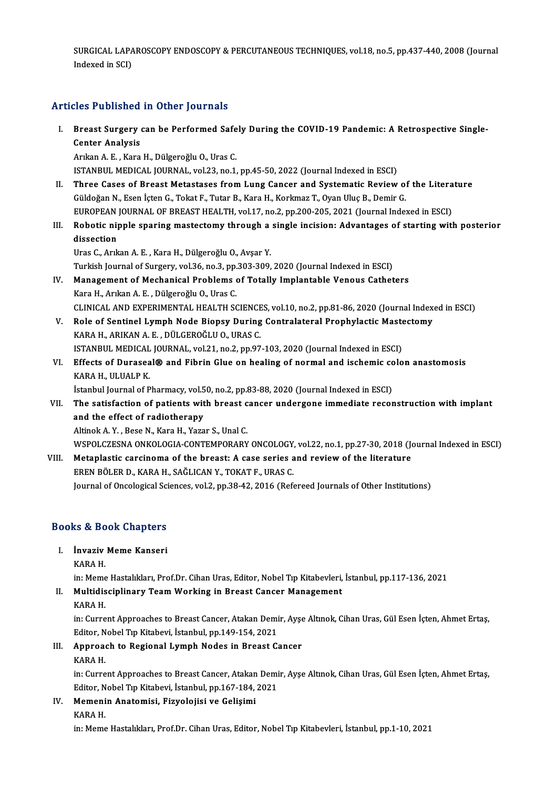SURGICAL LAPAROSCOPY ENDOSCOPY & PERCUTANEOUS TECHNIQUES, vol.18, no.5, pp.437-440, 2008 (Journal<br>Indoved in SCD SURGICAL LAP*A*<br>Indexed in SCI)

# Articles Published in Other Journals

rticles Published in Other Journals<br>I. Breast Surgery can be Performed Safely During the COVID-19 Pandemic: A Retrospective Single-<br>Conter Analysis Res Published<br>Breast Surgery<br>Center Analysis<br>Arkan A E Kara Breast Surgery can be Performed Safe<br>Center Analysis<br>Arıkan A. E. , Kara H., Dülgeroğlu O., Uras C.<br>ISTANPUL MEDICAL JOUPNAL, vel 33, no.1 Center Analysis<br>Arıkan A. E. , Kara H., Dülgeroğlu O., Uras C.<br>ISTANBUL MEDICAL JOURNAL, vol.23, no.1, pp.45-50, 2022 (Journal Indexed in ESCI)

- Arıkan A. E. , Kara H., Dülgeroğlu O., Uras C.<br>ISTANBUL MEDICAL JOURNAL, vol.23, no.1, pp.45-50, 2022 (Journal Indexed in ESCI)<br>II. Three Cases of Breast Metastases from Lung Cancer and Systematic Review of the Literat ISTANBUL MEDICAL JOURNAL, vol.23, no.1, pp.45-50, 2022 (Journal Indexed in ESCI)<br>Three Cases of Breast Metastases from Lung Cancer and Systematic Review of<br>Güldoğan N., Esen İçten G., Tokat F., Tutar B., Kara H., Korkmaz T Three Cases of Breast Metastases from Lung Cancer and Systematic Review of the Litera<br>Güldoğan N., Esen İçten G., Tokat F., Tutar B., Kara H., Korkmaz T., Oyan Uluç B., Demir G.<br>EUROPEAN JOURNAL OF BREAST HEALTH, vol.17, n
- Güldoğan N., Esen İçten G., Tokat F., Tutar B., Kara H., Korkmaz T., Oyan Uluç B., Demir G.<br>EUROPEAN JOURNAL OF BREAST HEALTH, vol.17, no.2, pp.200-205, 2021 (Journal Indexed in ESCI)<br>III. Robotic nipple sparing mastectomy EUROPEAN JOURNAL OF BREAST HEALTH, vol.17, no.2, pp.200-205, 2021 (Journal Indexed in ESCI)<br>Robotic nipple sparing mastectomy through a single incision: Advantages of starting wit<br>dissection<br>Uras C., Arıkan A. E., Kara H., Robotic nipple sparing mastectomy through a<br>dissection<br>Uras C., Arıkan A. E. , Kara H., Dülgeroğlu O., Avşar Y.<br>Turkich Journal of Surgery, vol 26, no 2, np 202, 200.

Turkish Journal of Surgery, vol.36, no.3, pp.303-309, 2020 (Journal Indexed in ESCI)

- Uras C., Arıkan A. E. , Kara H., Dülgeroğlu O., Avşar Y.<br>Turkish Journal of Surgery, vol.36, no.3, pp.303-309, 2020 (Journal Indexed in ESCI)<br>IV. Management of Mechanical Problems of Totally Implantable Venous Catheters<br>Ka Turkish Journal of Surgery, vol.36, no.3, pp.<br>Management of Mechanical Problems<br>Kara H., Arıkan A. E. , Dülgeroğlu O., Uras C.<br>CLINICAL AND EXPERIMENTAL HEALTH SC Kara H., Arıkan A. E. , Dülgeroğlu O., Uras C.<br>CLINICAL AND EXPERIMENTAL HEALTH SCIENCES, vol.10, no.2, pp.81-86, 2020 (Journal Indexed in ESCI) Kara H., Arıkan A. E. , Dülgeroğlu O., Uras C.<br>CLINICAL AND EXPERIMENTAL HEALTH SCIENCES, vol.10, no.2, pp.81-86, 2020 (Journal Index<br>V. Role of Sentinel Lymph Node Biopsy During Contralateral Prophylactic Mastectomy<br>KARA
- CLINICAL AND EXPERIMENTAL HEALTH SCIENCE<br>Role of Sentinel Lymph Node Biopsy During<br>KARA H., ARIKAN A. E. , DÜLGEROĞLU O., URAS C.<br>ISTANPUL MEDICAL JOUPNAL YOL21, po 2, pp.97 Role of Sentinel Lymph Node Biopsy During Contralateral Prophylactic Maste<br>KARA H., ARIKAN A. E. , DÜLGEROĞLU O., URAS C.<br>ISTANBUL MEDICAL JOURNAL, vol.21, no.2, pp.97-103, 2020 (Journal Indexed in ESCI)<br>Effects of Durasca KARA H., ARIKAN A. E. , DÜLGEROĞLU O., URAS C.<br>ISTANBUL MEDICAL JOURNAL, vol.21, no.2, pp.97-103, 2020 (Journal Indexed in ESCI)<br>VI. Effects of Duraseal® and Fibrin Glue on healing of normal and ischemic colon anastomosis<br>
- ISTANBUL MEDICAL<br>Effects of Durasea<br>KARA H., ULUALP K.<br>Istanbul Jaurnal of B Effects of Duraseal® and Fibrin Glue on healing of normal and ischemic co<br>KARA H., ULUALP K.<br>İstanbul Journal of Pharmacy, vol.50, no.2, pp.83-88, 2020 (Journal Indexed in ESCI)<br>The satisfaction of patients with breast san

KARA H., ULUALP K.<br>İstanbul Journal of Pharmacy, vol.50, no.2, pp.83-88, 2020 (Journal Indexed in ESCI)<br>VII. The satisfaction of patients with breast cancer undergone immediate reconstruction with implant<br>and the effec Istanbul Journal of Pharmacy, vol.50, no.2, pp.83-88, 2020 (Journal Indexed in ESCI)<br>The satisfaction of patients with breast cancer undergone immediate recor<br>and the effect of radiotherapy<br>Altinok A. Y., Bese N., Kara H., The satisfaction of patients with breast c<br>and the effect of radiotherapy<br>Altinok A.Y., Bese N., Kara H., Yazar S., Unal C.<br>WSPOL CZESNA ONKOLOCIA CONTEMPORAPY and the effect of radiotherapy<br>Altinok A. Y. , Bese N., Kara H., Yazar S., Unal C.<br>WSPOLCZESNA ONKOLOGIA-CONTEMPORARY ONCOLOGY, vol.22, no.1, pp.27-30, 2018 (Journal Indexed in ESCI)<br>Metaplestic capcinorme of the broast: A

Altinok A. Y., Bese N., Kara H., Yazar S., Unal C.<br>WSPOLCZESNA ONKOLOGIA-CONTEMPORARY ONCOLOGY, vol.22, no.1, pp.27-30, 2018 (Journal of the literature<br>VIII. Metaplastic carcinoma of the breast: A case series and review of VIII. Metaplastic carcinoma of the breast: A case series and review of the literature<br>EREN BÖLER D., KARA H., SAĞLICAN Y., TOKAT F., URAS C. Journal of Oncological Sciences, vol.2, pp.38-42, 2016 (Refereed Journals of Other Institutions)

# <sub>Journal of Oncological Scr</sub><br>Books & Book Chapters ooks & Book Chapters<br>I. İnvaziv Meme Kanseri<br>KARA H

I. *Invaziv Meme Kanseri*<br>KARA H.

İnvaziv Meme Kanseri<br>KARA H.<br>in: Meme Hastalıkları, Prof.Dr. Cihan Uras, Editor, Nobel Tıp Kitabevleri, İstanbul, pp.117-136, 2021<br>Multidissiplinary Team Warking in Breast Canser Management

## KARA H.<br>in: Meme Hastalıkları, Prof.Dr. Cihan Uras, Editor, Nobel Tıp Kitabevleri,<br>II. Multidisciplinary Team Working in Breast Cancer Management<br>KARA H in: Meme<br><mark>Multidis</mark><br>KARA H.<br>in: Curre

Multidisciplinary Team Working in Breast Cancer Management<br>KARA H.<br>in: Current Approaches to Breast Cancer, Atakan Demir, Ayşe Altınok, Cihan Uras, Gül Esen İçten, Ahmet Ertaş,<br>Editer, Nobel Tıp Kitabevi, İstanbul, pp.149, KARA H.<br>in: Current Approaches to Breast Cancer, Atakan Demi<br>Editor, Nobel Tıp Kitabevi, İstanbul, pp.149-154, 2021<br>Annusash ta Begianal Lumph Nades in Breast G. in: Current Approaches to Breast Cancer, Atakan Demir, Ayşe<br>Editor, Nobel Tıp Kitabevi, İstanbul, pp.149-154, 2021<br>III. Approach to Regional Lymph Nodes in Breast Cancer<br>KARA H

# Editor, N<br><mark>Approa</mark><br>KARA H.<br>in: Curre

Approach to Regional Lymph Nodes in Breast Cancer<br>KARA H.<br>in: Current Approaches to Breast Cancer, Atakan Demir, Ayşe Altınok, Cihan Uras, Gül Esen İçten, Ahmet Ertaş,<br>Editar, Nobel Tın Kitabevi, İstanbul, nn 167,194,2021 KARA H.<br>in: Current Approaches to Breast Cancer, Atakan Demi<br>Editor, Nobel Tıp Kitabevi, İstanbul, pp.167-184, 2021<br>Memenin, Anatemisi, Fizyolojisi ve Golisimi

in: Current Approaches to Breast Cancer, Atakan<br>Editor, Nobel Tıp Kitabevi, İstanbul, pp.167-184,<br>IV. Memenin Anatomisi, Fizyolojisi ve Gelişimi Editor, N<br><mark>Memeni</mark><br>KARA H.<br>in: Mome

KARA H.<br>in: Meme Hastalıkları, Prof.Dr. Cihan Uras, Editor, Nobel Tıp Kitabevleri, İstanbul, pp.1-10, 2021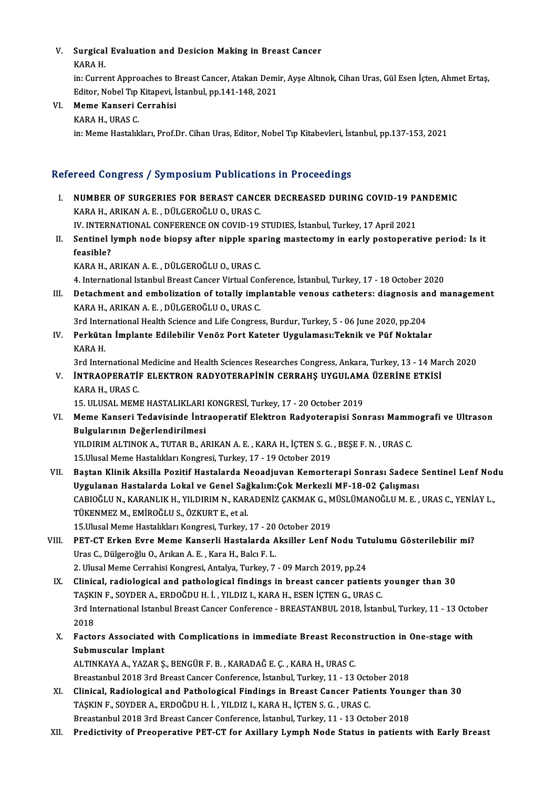## V. Surgical Evaluation and Desicion Making in Breast Cancer<br>KARA H Surgical<br>KARA H.<br>in: Curre

KARA H.<br>in: Current Approaches to Breast Cancer, Atakan Demir, Ayse Altınok, Cihan Uras, Gül Esen İçten, Ahmet Ertas, KARA H.<br>in: Current Approaches to Breast Cancer, Atakan Demi<br>Editor, Nobel Tıp Kitapevi, İstanbul, pp.141-148, 2021<br>Meme Kanseri Carrebisi

## VI. Meme Kanseri Cerrahisi

Editor, Nobel Tip<br><mark>Meme Kanseri (</mark><br>KARA H., URAS C.<br>in: Meme Hastalık in: Meme Hastalıkları, Prof.Dr. Cihan Uras, Editor, Nobel Tıp Kitabevleri, İstanbul, pp.137-153, 2021

### Refereed Congress / Symposium Publications in Proceedings

- I. NUMBER OF SURGERIES FOR BERAST CANCER DECREASED DURING COVID-19 PANDEMIC KARAH.,ARIKANA.E. ,DÜLGEROĞLUO.,URASC. IV. INTERNATIONAL CONFERENCE ON COVID-19 STUDIES, İstanbul, Turkey, 17 April 2021 KARA H., ARIKAN A. E. , DÜLGEROĞLU O., URAS C.<br>IV. INTERNATIONAL CONFERENCE ON COVID-19 STUDIES, İstanbul, Turkey, 17 April 2021<br>II. Sentinel lymph node biopsy after nipple sparing mastectomy in early postoperative per
- IV. INTERN<br>Sentinel<br>feasible?<br>KARA H Sentinel lymph node biopsy after nipple spa<br>feasible?<br>KARA H., ARIKAN A. E. , DÜLGEROĞLU O., URAS C.<br>4. International Istanbul Breest Censon Virtual Co. feasible?<br>KARA H., ARIKAN A. E. , DÜLGEROĞLU O., URAS C.<br>4. International Istanbul Breast Cancer Virtual Conference, İstanbul, Turkey, 17 - 18 October 2020<br>Petashment and embelization of tatally implentable yeneye sathatar

KARA H., ARIKAN A. E. , DÜLGEROĞLU O., URAS C.<br>4. International Istanbul Breast Cancer Virtual Conference, İstanbul, Turkey, 17 - 18 October 2020<br>III. Detachment and embolization of totally implantable venous catheters 4. International Istanbul Breast Cancer Virtual Co<br>Detachment and embolization of totally imp<br>KARA H., ARIKAN A. E. , DÜLGEROĞLU O., URAS C.<br><sup>2rd International Hoalth Science and Life Congres</sup>

3rd International Health Science and Life Congress, Burdur, Turkey, 5 - 06 June 2020, pp.204

IV. Perkütan İmplante Edilebilir Venöz Port Kateter Uygulaması:Teknik ve Püf Noktalar KARA H.

3rd International Medicine and Health Sciences Researches Congress, Ankara, Turkey, 13 - 14 March 2020

KARA H.<br>3rd International Medicine and Health Sciences Researches Congress, Ankara, Turkey, 13 - 14 Mar<br>17. INTRAOPERATİF ELEKTRON RADYOTERAPİNİN CERRAHŞ UYGULAMA ÜZERİNE ETKİSİ<br>17. INDAS C 3rd International<br>**İNTRAOPERATİ!**<br>KARA H., URAS C.<br>15. ULUSAL MEM <mark>INTRAOPERATIF ELEKTRON RADYOTERAPİNİN CERRAHŞ UYGULAM/</mark><br>KARA H., URAS C.<br>15. ULUSAL MEME HASTALIKLARI KONGRESİ, Turkey, 17 - 20 October 2019<br>Mame Kansari Tedavisinde İntraaneratif Elektron Badyotaranisi Ser

15. ULUSAL MEME HASTALIKLARI KONGRESİ, Turkey, 17 - 20 October 2019

KARA H., URAS C.<br>15. ULUSAL MEME HASTALIKLARI KONGRESİ, Turkey, 17 - 20 October 2019<br>VI. Meme Kanseri Tedavisinde İntraoperatif Elektron Radyoterapisi Sonrası Mammografi ve Ultrason<br>Bulgularının Değerlendirilmesi Meme Kanseri Tedavisinde İntraoperatif Elektron Radyoterapisi Sonrası Mamm<br>Bulgularının Değerlendirilmesi<br>YILDIRIM ALTINOK A., TUTAR B., ARIKAN A. E. , KARA H., İÇTEN S. G. , BEŞE F. N. , URAS C.<br>15 Hlusel Meme Hestelikler Bulgularının Değerlendirilmesi<br>YILDIRIM ALTINOK A., TUTAR B., ARIKAN A. E. , KARA H., İÇTEN S. G.<br>15.Ulusal Meme Hastalıkları Kongresi, Turkey, 17 - 19 October 2019<br>Bestan Klinik Aksilla Besitif Hastalarda Neoediuwan Komen

- YILDIRIM ALTINOK A., TUTAR B., ARIKAN A. E. , KARA H., İÇTEN S. G. , BEŞE F. N. , URAS C.<br>15.Ulusal Meme Hastalıkları Kongresi, Turkey, 17 19 October 2019<br>VII. Baştan Klinik Aksilla Pozitif Hastalarda Neoadjuvan Kemorter 15.Ulusal Meme Hastalıkları Kongresi, Turkey, 17 - 19 October 2019<br>Baştan Klinik Aksilla Pozitif Hastalarda Neoadjuvan Kemorterapi Sonrası Sadece<br>Uygulanan Hastalarda Lokal ve Genel Sağkalım:Çok Merkezli MF-18-02 Çalışması Baştan Klinik Aksilla Pozitif Hastalarda Neoadjuvan Kemorterapi Sonrası Sadece Sentinel Lenf Noc<br>Uygulanan Hastalarda Lokal ve Genel Sağkalım:Çok Merkezli MF-18-02 Çalışması<br>CABIOĞLU N., KARANLIK H., YILDIRIM N., KARADENİZ Uygulanan Hastalarda Lokal ve Genel Sağ<br>CABIOĞLU N., KARANLIK H., YILDIRIM N., KAR<br>TÜKENMEZ M., EMİROĞLU S., ÖZKURT E., et al.<br>15 Hlusel Marra Hastalıları Kansresi Turkay CABIOĞLU N., KARANLIK H., YILDIRIM N., KARADENİZ ÇAKMAK G., M<br>TÜKENMEZ M., EMİROĞLU S., ÖZKURT E., et al.<br>15.Ulusal Meme Hastalıkları Kongresi, Turkey, 17 - 20 October 2019<br>PET. CT. Erkon, Euro Mame Kansorli Hastalarda, Ak 15. Ulusal Meme Hastalıkları Kongresi, Turkey, 17 - 20 October 2019
- TÜKENMEZ M., EMİROĞLU S., ÖZKURT E., et al.<br>15.Ulusal Meme Hastalıkları Kongresi, Turkey, 17 20 October 2019<br>VIII. PET-CT Erken Evre Meme Kanserli Hastalarda Aksiller Lenf Nodu Tutulumu Gösterilebilir mi?<br>Uras C., Dü 2. Ulusal Meme Cerrahisi Kongresi, Antalya, Turkey, 7 - 09 March 2019, pp.24 Uras C., Dülgeroğlu O., Arıkan A. E. , Kara H., Balcı F. L.<br>2. Ulusal Meme Cerrahisi Kongresi, Antalya, Turkey, 7 - 09 March 2019, pp.24<br>IX. Clinical, radiological and pathological findings in breast cancer patients younge
	- 2. Ulusal Meme Cerrahisi Kongresi, Antalya, Turkey, 7 09 March 2019, pp.24<br>Clinical, radiological and pathological findings in breast cancer patients<br>TAŞKIN F., SOYDER A., ERDOĞDU H. İ. , YILDIZ I., KARA H., ESEN İÇTEN G Clinical, radiological and pathological findings in breast cancer patients younger than 30<br>TAŞKIN F., SOYDER A., ERDOĞDU H. İ. , YILDIZ I., KARA H., ESEN İÇTEN G., URAS C.<br>3rd International Istanbul Breast Cancer Conferenc TAŞKI<br>3rd In<br>2018<br>Fasta 3rd International Istanbul Breast Cancer Conference - BREASTANBUL 2018, Istanbul, Turkey, 11 - 13 Octo<br>2018<br>X. Factors Associated with Complications in immediate Breast Reconstruction in One-stage with<br>Submussular Implant
	- 2018<br>Factors Associated wi<br>Submuscular Implant<br>ALTINKAYA A VAZAR S Factors Associated with Complications in immediate Breast Recon<br>Submuscular Implant<br>ALTINKAYA A., YAZAR Ş., BENGÜR F. B. , KARADAĞ E. Ç. , KARA H., URAS C.<br>Preastanbul 2018 2rd Breast Canser Conferense İstanbul Turkay 11, Submuscular Implant<br>ALTINKAYA A., YAZAR Ş., BENGÜR F. B. , KARADAĞ E. Ç. , KARA H., URAS C.<br>Breastanbul 2018 3rd Breast Cancer Conference, İstanbul, Turkey, 11 - 13 October 2018

- ALTINKAYA A., YAZAR Ș., BENGÜR F. B. , KARADAĞ E. Ç. , KARA H., URAS C.<br>Breastanbul 2018 3rd Breast Cancer Conference, İstanbul, Turkey, 11 13 October 2018<br>XI. Clinical, Radiological and Pathological Findings in Breast C TAŞKIN F., SOYDER A., ERDOĞDU H. İ. , YILDIZ I., KARA H., İÇTEN S. G. , URAS C.<br>Breastanbul 2018 3rd Breast Cancer Conference, İstanbul, Turkey, 11 - 13 October 2018 Clinical, Radiological and Pathological Findings in Breast Cancer Patients Youn<br>TAŞKIN F., SOYDER A., ERDOĞDU H. İ. , YILDIZ I., KARA H., İÇTEN S. G. , URAS C.<br>Breastanbul 2018 3rd Breast Cancer Conference, İstanbul, Turke
- XII. Predictivity of Preoperative PET-CT for Axillary Lymph Node Status in patients with Early Breast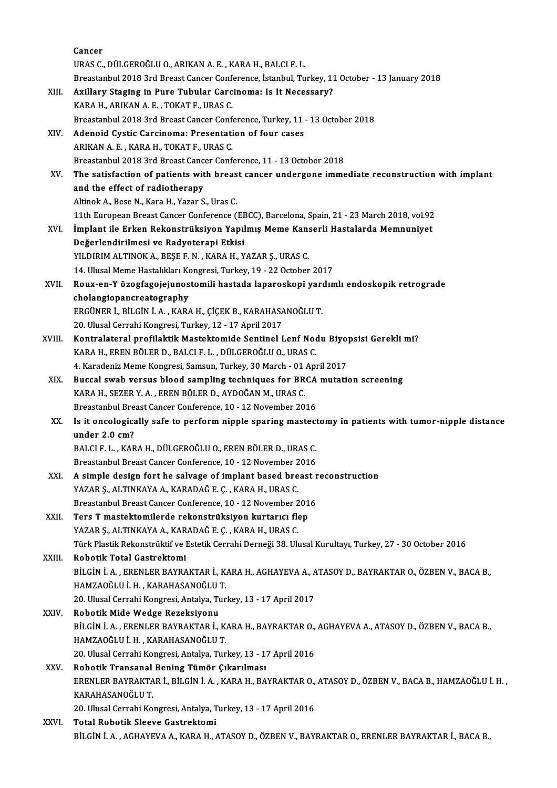|        | Cancer                                                                                                    |
|--------|-----------------------------------------------------------------------------------------------------------|
|        | URAS C., DÜLGEROĞLU O., ARIKAN A. E., KARA H., BALCI F. L.                                                |
|        | Breastanbul 2018 3rd Breast Cancer Conference, İstanbul, Turkey, 11 October - 13 January 2018             |
| XIII.  | Axillary Staging in Pure Tubular Carcinoma: Is It Necessary?                                              |
|        | KARA H., ARIKAN A. E., TOKAT F., URAS C.                                                                  |
|        | Breastanbul 2018 3rd Breast Cancer Conference, Turkey, 11 - 13 October 2018                               |
| XIV.   | Adenoid Cystic Carcinoma: Presentation of four cases                                                      |
|        | ARIKAN A. E., KARA H., TOKAT F., URAS C.                                                                  |
|        | Breastanbul 2018 3rd Breast Cancer Conference, 11 - 13 October 2018                                       |
| XV.    | The satisfaction of patients with breast cancer undergone immediate reconstruction with implant           |
|        | and the effect of radiotherapy                                                                            |
|        | Altinok A., Bese N., Kara H., Yazar S., Uras C.                                                           |
|        | 11th European Breast Cancer Conference (EBCC), Barcelona, Spain, 21 - 23 March 2018, vol.92               |
| XVI.   | İmplant ile Erken Rekonstrüksiyon Yapılmış Meme Kanserli Hastalarda Memnuniyet                            |
|        | Değerlendirilmesi ve Radyoterapi Etkisi                                                                   |
|        | YILDIRIM ALTINOK A., BEŞE F. N., KARA H., YAZAR Ş., URAS C.                                               |
|        | 14. Ulusal Meme Hastalıkları Kongresi, Turkey, 19 - 22 October 2017                                       |
| XVII.  | Roux-en-Y özogfagojejunostomili hastada laparoskopi yardımlı endoskopik retrograde                        |
|        | cholangiopancreatography                                                                                  |
|        | ERGÜNER İ., BİLGİN İ. A., KARA H., ÇİÇEK B., KARAHASANOĞLU T.                                             |
|        | 20. Ulusal Cerrahi Kongresi, Turkey, 12 - 17 April 2017                                                   |
| XVIII. | Kontralateral profilaktik Mastektomide Sentinel Lenf Nodu Biyopsisi Gerekli mi?                           |
|        | KARA H., EREN BÖLER D., BALCI F. L., DÜLGEROĞLU O., URAS C.                                               |
|        | 4. Karadeniz Meme Kongresi, Samsun, Turkey, 30 March - 01 April 2017                                      |
| XIX.   | Buccal swab versus blood sampling techniques for BRCA mutation screening                                  |
|        | KARA H., SEZER Y. A., EREN BÖLER D., AYDOĞAN M., URAS C.                                                  |
|        | Breastanbul Breast Cancer Conference, 10 - 12 November 2016                                               |
| XX.    | Is it oncologically safe to perform nipple sparing mastectomy in patients with tumor-nipple distance      |
|        | under 2.0 cm?                                                                                             |
|        | BALCI F. L., KARA H., DÜLGEROĞLU O., EREN BÖLER D., URAS C.                                               |
|        | Breastanbul Breast Cancer Conference, 10 - 12 November 2016                                               |
| XXI.   | A simple design fort he salvage of implant based breast reconstruction                                    |
|        | YAZAR Ş., ALTINKAYA A., KARADAĞ E. Ç., KARA H., URAS C.                                                   |
|        | Breastanbul Breast Cancer Conference, 10 - 12 November 2016                                               |
| XXII.  | Ters T mastektomilerde rekonstrüksiyon kurtarıcı flep                                                     |
|        | YAZAR Ş., ALTINKAYA A., KARADAĞ E. Ç., KARA H., URAS C.                                                   |
|        | Türk Plastik Rekonstrüktif ve Estetik Cerrahi Derneği 38. Ulusal Kurultayı, Turkey, 27 - 30 October 2016  |
| XXIII. | Robotik Total Gastrektomi                                                                                 |
|        | BİLGİN İ. A., ERENLER BAYRAKTAR İ., KARA H., AGHAYEVA A., ATASOY D., BAYRAKTAR O., ÖZBEN V., BACA B.,     |
|        | HAMZAOĞLU İ.H., KARAHASANOĞLU T.                                                                          |
|        | 20. Ulusal Cerrahi Kongresi, Antalya, Turkey, 13 - 17 April 2017                                          |
| XXIV.  | Robotik Mide Wedge Rezeksiyonu                                                                            |
|        | BİLGİN İ. A., ERENLER BAYRAKTAR İ., KARA H., BAYRAKTAR O., AGHAYEVA A., ATASOY D., ÖZBEN V., BACA B.,     |
|        | HAMZAOĞLU İ.H., KARAHASANOĞLU T.                                                                          |
|        | 20. Ulusal Cerrahi Kongresi, Antalya, Turkey, 13 - 17 April 2016                                          |
| XXV.   | Robotik Transanal Bening Tümör Çıkarılması                                                                |
|        | ERENLER BAYRAKTAR İ., BİLGİN İ. A., KARA H., BAYRAKTAR O., ATASOY D., ÖZBEN V., BACA B., HAMZAOĞLU İ. H., |
|        | KARAHASANOĞLU T.                                                                                          |
|        | 20. Ulusal Cerrahi Kongresi, Antalya, Turkey, 13 - 17 April 2016                                          |
| XXVI.  | Total Robotik Sleeve Gastrektomi                                                                          |
|        | BİLGİN İ. A., AGHAYEVA A., KARA H., ATASOY D., ÖZBEN V., BAYRAKTAR O., ERENLER BAYRAKTAR İ., BACA B.,     |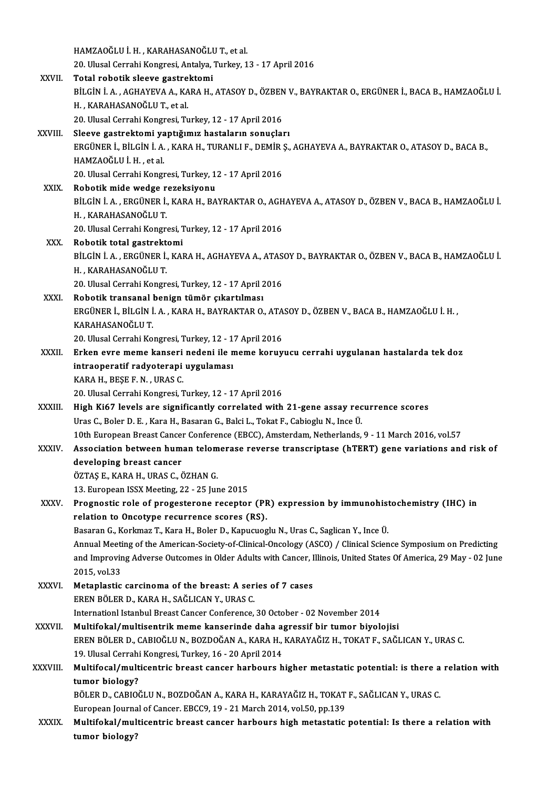|              | HAMZAOĞLU İ.H., KARAHASANOĞLU T., et al.                                                                         |
|--------------|------------------------------------------------------------------------------------------------------------------|
|              | 20. Ulusal Cerrahi Kongresi, Antalya, Turkey, 13 - 17 April 2016                                                 |
| XXVII.       | Total robotik sleeve gastrektomi                                                                                 |
|              | BİLGİN İ. A., AGHAYEVA A., KARA H., ATASOY D., ÖZBEN V., BAYRAKTAR O., ERGÜNER İ., BACA B., HAMZAOĞLU İ.         |
|              | H., KARAHASANOĞLU T., et al.                                                                                     |
|              | 20. Ulusal Cerrahi Kongresi, Turkey, 12 - 17 April 2016                                                          |
| XXVIII.      | Sleeve gastrektomi yaptığımız hastaların sonuçları                                                               |
|              | ERGÜNER İ., BİLGİN İ. A., KARA H., TURANLI F., DEMİR Ş., AGHAYEVA A., BAYRAKTAR O., ATASOY D., BACA B.,          |
|              | HAMZAOĞLU İ.H., et al.                                                                                           |
|              | 20. Ulusal Cerrahi Kongresi, Turkey, 12 - 17 April 2016                                                          |
| <b>XXIX</b>  | Robotik mide wedge rezeksiyonu                                                                                   |
|              | BİLGİN İ. A., ERGÜNER İ., KARA H., BAYRAKTAR O., AGHAYEVA A., ATASOY D., ÖZBEN V., BACA B., HAMZAOĞLU İ.         |
|              | H , KARAHASANOĞLU T                                                                                              |
|              | 20. Ulusal Cerrahi Kongresi, Turkey, 12 - 17 April 2016                                                          |
| XXX.         | Robotik total gastrektomi                                                                                        |
|              | BİLGİN İ. A., ERGÜNER İ., KARA H., AGHAYEVA A., ATASOY D., BAYRAKTAR O., ÖZBEN V., BACA B., HAMZAOĞLU İ.         |
|              | H., KARAHASANOĞLU T.                                                                                             |
|              | 20. Ulusal Cerrahi Kongresi, Turkey, 12 - 17 April 2016                                                          |
| XXXI.        | Robotik transanal benign tümör çıkartılması                                                                      |
|              | ERGÜNER İ., BİLGİN İ. A., KARA H., BAYRAKTAR O., ATASOY D., ÖZBEN V., BACA B., HAMZAOĞLU İ. H.,                  |
|              | KARAHASANOĞLU T.                                                                                                 |
|              | 20. Ulusal Cerrahi Kongresi, Turkey, 12 - 17 April 2016                                                          |
| XXXII.       | Erken evre meme kanseri nedeni ile meme koruyucu cerrahi uygulanan hastalarda tek doz                            |
|              | intraoperatif radyoterapi uygulaması                                                                             |
|              | KARA H., BEŞE F. N., URAS C.                                                                                     |
|              | 20. Ulusal Cerrahi Kongresi, Turkey, 12 - 17 April 2016                                                          |
| XXXIII.      | High Ki67 levels are significantly correlated with 21-gene assay recurrence scores                               |
|              | Uras C., Boler D. E., Kara H., Basaran G., Balci L., Tokat F., Cabioglu N., Ince Ü.                              |
|              | 10th European Breast Cancer Conference (EBCC), Amsterdam, Netherlands, 9 - 11 March 2016, vol.57                 |
| <b>XXXIV</b> | Association between human telomerase reverse transcriptase (hTERT) gene variations and risk of                   |
|              | developing breast cancer                                                                                         |
|              | ÖZTAŞ E., KARA H., URAS C., ÖZHAN G.                                                                             |
|              | 13. European ISSX Meeting, 22 - 25 June 2015                                                                     |
| XXXV.        | Prognostic role of progesterone receptor (PR) expression by immunohistochemistry (IHC) in                        |
|              | relation to Oncotype recurrence scores (RS).                                                                     |
|              | Basaran G., Korkmaz T., Kara H., Boler D., Kapucuoglu N., Uras C., Saglican Y., Ince Ü.                          |
|              | Annual Meeting of the American-Society-of-Clinical-Oncology (ASCO) / Clinical Science Symposium on Predicting    |
|              | and Improving Adverse Outcomes in Older Adults with Cancer, Illinois, United States Of America, 29 May - 02 June |
|              | 2015, vol.33                                                                                                     |
| <b>XXXVI</b> | Metaplastic carcinoma of the breast: A series of 7 cases<br>EREN BÖLER D., KARA H., SAĞLICAN Y., URAS C.         |
|              | Internationl Istanbul Breast Cancer Conference, 30 October - 02 November 2014                                    |
| XXXVII.      | Multifokal/multisentrik meme kanserinde daha agressif bir tumor biyolojisi                                       |
|              | EREN BÖLER D., CABIOĞLU N., BOZDOĞAN A., KARA H., KARAYAĞIZ H., TOKAT F., SAĞLICAN Y., URAS C.                   |
|              | 19. Ulusal Cerrahi Kongresi, Turkey, 16 - 20 April 2014                                                          |
| XXXVIII.     | Multifocal/multicentric breast cancer harbours higher metastatic potential: is there a relation with             |
|              | tumor biology?                                                                                                   |
|              | BÖLER D., CABIOĞLU N., BOZDOĞAN A., KARA H., KARAYAĞIZ H., TOKAT F., SAĞLICAN Y., URAS C.                        |
|              | European Journal of Cancer. EBCC9, 19 - 21 March 2014, vol.50, pp.139                                            |
| <b>XXXIX</b> | Multifokal/multicentric breast cancer harbours high metastatic potential: Is there a relation with               |
|              |                                                                                                                  |
|              | tumor biology?                                                                                                   |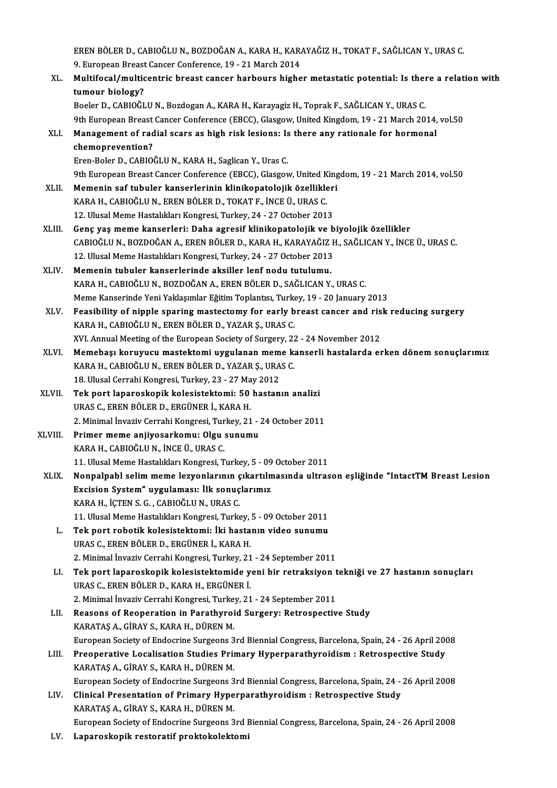EREN BÖLER D., CABIOĞLU N., BOZDOĞAN A., KARA H., KARAYAĞIZ H., TOKAT F., SAĞLICAN Y., URAS C.<br>9. European Bresst Canser Canforanse, 19., 21 Marsh 2014. eren BÖLER D., CABIOĞLU N., BOZDOĞAN A., KARA H., KAR.<br>9. European Breast Cancer Conference, 19 - 21 March 2014<br>Multifosel (multisentris breast sansar barbours bisbo EREN BÖLER D., CABIOĞLU N., BOZDOĞAN A., KARA H., KARAYAĞIZ H., TOKAT F., SAĞLICAN Y., URAS C.<br>9. European Breast Cancer Conference, 19 - 21 March 2014<br>XL. Multifocal/multicentric breast cancer harbours higher metastatic p 9. European Breast Cancer Conference, 19 - 21 March 2014<br>Multifocal/multicentric breast cancer harbours higher metastatic potential: Is there a relation with<br>tumour biology? Boeler D., CABIOĞLU N., Bozdogan A., KARA H., Karayagiz H., Toprak F., SAĞLICAN Y., URAS C. 9th European Breast Cancer Conference (EBCC), Glasgow, United Kingdom, 19 - 21 March 2014, vol.50 Boeler D., CABIOĞLU N., Bozdogan A., KARA H., Karayagiz H., Toprak F., SAĞLICAN Y., URAS C.<br>9th European Breast Cancer Conference (EBCC), Glasgow, United Kingdom, 19 - 21 March 2014,<br>XLI. Management of radial scars as high **9th European Breast<br>Management of rad<br>chemoprevention?**<br>Fren Poler D. GABIO Management of radial scars as high risk lesions: Is<br>chemoprevention?<br>Eren-Boler D., CABIOĞLU N., KARA H., Saglican Y., Uras C.<br><sup>Oth Euronean Presst Cancer Conference (EPCC), Classey</sub></sup> chemoprevention?<br>Eren-Boler D., CABIOĞLU N., KARA H., Saglican Y., Uras C.<br>9th European Breast Cancer Conference (EBCC), Glasgow, United Kingdom, 19 - 21 March 2014, vol.50<br>Memenin sef tubuler kanserlerinin klinikenateleji Eren-Boler D., CABIOĞLU N., KARA H., Saglican Y., Uras C.<br>9th European Breast Cancer Conference (EBCC), Glasgow, United King<br>XLII. Memenin saf tubuler kanserlerinin klinikopatolojik özellikleri<br>KARA H. CARIOĞLU N. EREN BÖL 9th European Breast Cancer Conference (EBCC), Glasgow, United K<br>Memenin saf tubuler kanserlerinin klinikopatolojik özellikle<br>KARA H., CABIOĞLU N., EREN BÖLER D., TOKAT F., İNCE Ü., URAS C.<br>12. Ulucal Mame Hastalıkları Kans Memenin saf tubuler kanserlerinin klinikopatolojik özellikleri<br>KARA H., CABIOĞLU N., EREN BÖLER D., TOKAT F., İNCE Ü., URAS C.<br>12. Ulusal Meme Hastalıkları Kongresi, Turkey, 24 - 27 October 2013 KARA H., CABIOĞLU N., EREN BÖLER D., TOKAT F., İNCE Ü., URAS C.<br>12. Ulusal Meme Hastalıkları Kongresi, Turkey, 24 - 27 October 2013<br>XLIII. Genç yaş meme kanserleri: Daha agresif klinikopatolojik ve biyolojik özellikler<br>GAR 12. Ulusal Meme Hastalıkları Kongresi, Turkey, 24 - 27 October 2013<br>Genç yaş meme kanserleri: Daha agresif klinikopatolojik ve biyolojik özellikler<br>CABIOĞLU N., BOZDOĞAN A., EREN BÖLER D., KARA H., KARAYAĞIZ H., SAĞLICAN Y Genç yaş meme kanserleri: Daha agresif klinikopatolojik ve b<br>CABIOĞLU N., BOZDOĞAN A., EREN BÖLER D., KARA H., KARAYAĞIZ I<br>12. Ulusal Meme Hastalıkları Kongresi, Turkey, 24 - 27 October 2013<br>Memenin tubular kanserlerinde a CABIOĞLU N., BOZDOĞAN A., EREN BÖLER D., KARA H., KARAYAĞIZ<br>12. Ulusal Meme Hastalıkları Kongresi, Turkey, 24 - 27 October 2013<br>XLIV. Memenin tubuler kanserlerinde aksiller lenf nodu tutulumu.<br>2006 - KARA H. GARIOĞLU N. BO 12. Ulusal Meme Hastalıkları Kongresi, Turkey, 24 - 27 October 2013<br>Memenin tubuler kanserlerinde aksiller lenf nodu tutulumu.<br>KARA H., CABIOĞLU N., BOZDOĞAN A., EREN BÖLER D., SAĞLICAN Y., URAS C. Memenin tubuler kanserlerinde aksiller lenf nodu tutulumu.<br>KARA H., CABIOĞLU N., BOZDOĞAN A., EREN BÖLER D., SAĞLICAN Y., URAS C.<br>Meme Kanserinde Yeni Yaklaşımlar Eğitim Toplantısı, Turkey, 19 - 20 January 2013<br>Fessibility KARA H., CABIOĞLU N., BOZDOĞAN A., EREN BÖLER D., SAĞLICAN Y., URAS C.<br>Meme Kanserinde Yeni Yaklaşımlar Eğitim Toplantısı, Turkey, 19 - 20 January 2013<br>XLV. Feasibility of nipple sparing mastectomy for early breast cancer Meme Kanserinde Yeni Yaklaşımlar Eğitim Toplantısı, Turko<br>Feasibility of nipple sparing mastectomy for early b<br>KARA H., CABIOĞLU N., EREN BÖLER D., YAZAR Ş., URAS C.<br>XVI. Annual Meeting of the Euronean Society of Surgery. Feasibility of nipple sparing mastectomy for early breast cancer and ris<br>KARA H., CABIOĞLU N., EREN BÖLER D., YAZAR Ş., URAS C.<br>XVI. Annual Meeting of the European Society of Surgery, 22 - 24 November 2012<br>Mamabası karuyus KARA H., CABIOĞLU N., EREN BÖLER D., YAZAR Ş., URAS C.<br>XVI. Annual Meeting of the European Society of Surgery, 22 - 24 November 2012<br>XLVI. Memebaşı koruyucu mastektomi uygulanan meme kanserli hastalarda erken dönem sonuçla XVI. Annual Meeting of the European Society of Surgery, 22<br>Memebaşı koruyucu mastektomi uygulanan meme k:<br>KARA H., CABIOĞLU N., EREN BÖLER D., YAZAR Ş., URAS C.<br>18 Hlusal Carrabi Kongresi Turkey, 22, 27 May 2012 Memebaşı koruyucu mastektomi uygulanan mem<br>KARA H., CABIOĞLU N., EREN BÖLER D., YAZAR Ş., URA<br>18. Ulusal Cerrahi Kongresi, Turkey, 23 - 27 May 2012<br>Tek nert lanareskenik kelesistektemi: 50 bestan KARA H., CABIOĞLU N., EREN BÖLER D., YAZAR Ş., URAS C.<br>18. Ulusal Cerrahi Kongresi, Turkey, 23 - 27 May 2012<br>XLVII. **Tek port laparoskopik kolesistektomi: 50 hastanın analizi**<br>URAS C., EREN BÖLER D., ERGÜNER İ., KARA H 18. Ulusal Cerrahi Kongresi, Turkey, 23 - 27 May 2012 2. Minimal İnvaziv Cerrahi Kongresi, Turkey, 21 - 24 October 2011 URAS C., EREN BÖLER D., ERGÜNER İ., KARA H.<br>2. Minimal İnvaziv Cerrahi Kongresi, Turkey, 21 -<br>XLVIII. Primer meme anjiyosarkomu: Olgu sunumu 2. Minimal İnvaziv Cerrahi Kongresi, Tur<br>Primer meme anjiyosarkomu: Olgu<br>KARA H., CABIOĞLU N., İNCE Ü., URAS C.<br>11. Illucel Meme Hestalıkları Kongresi, T KARA H., CABIOĞLU N., İNCE Ü., URAS C.<br>11. Ulusal Meme Hastalıkları Kongresi, Turkey, 5 - 09 October 2011 KARA H., CABIOĞLU N., İNCE Ü., URAS C.<br>11. Ulusal Meme Hastalıkları Kongresi, Turkey, 5 - 09 October 2011<br>XLIX. Nonpalpabl selim meme lezyonlarının çıkartılmasında ultrason eşliğinde "IntactTM Breast Lesion<br>Breisian Sy 11. Ulusal Meme Hastalıkları Kongresi, Turkey, 5 - 09<br>Nonpalpabl selim meme lezyonlarının çıkartılım<br>Excision System" uygulaması: İlk sonuçlarımız<br>KARA H. İCTEN S.G. GARIQĞLUN URAS G Nonpalpabl selim meme lezyonlarının ç<br>Excision System" uygulaması: İlk sonuç<br>KARA H., İÇTEN S. G. , CABIOĞLU N., URAS C.<br>11 Hlusal Mama Hastalıkları Konspesi Turks Excision System" uygulaması: İlk sonuçlarımız<br>KARA H., İÇTEN S. G. , CABIOĞLU N., URAS C.<br>11. Ulusal Meme Hastalıkları Kongresi, Turkey, 5 - 09 October 2011<br>Tek pert rebetik kelesistektemi: İki bestanın video sunumu KARA H., İÇTEN S. G. , CABIOĞLU N., URAS C.<br>11. Ulusal Meme Hastalıkları Kongresi, Turkey, 5 - 09 October 2011<br>L. Tek port robotik kolesistektomi: İki hastanın video sunumu<br>URAS G. EPEN PÖLEP D. EPCÜNER İ. KARA H 11. Ulusal Meme Hastalıkları Kongresi, Turkey,<br>Tek port robotik kolesistektomi: İki hasta<br>URAS C., EREN BÖLER D., ERGÜNER İ., KARA H.<br>2. Minimal İnvaziy Carrabi Kongresi, Turkey, 21 Tek port robotik kolesistektomi: İki hastanın video sunumu<br>URAS C., EREN BÖLER D., ERGÜNER İ., KARA H.<br>2. Minimal İnvaziv Cerrahi Kongresi, Turkey, 21 - 24 September 2011<br>Tek port lanaroskanik kolesistektomide yeni bir ret URAS C., EREN BÖLER D., ERGÜNER İ., KARA H.<br>2. Minimal İnvaziv Cerrahi Kongresi, Turkey, 21 - 24 September 2011<br>LI. Tek port laparoskopik kolesistektomide yeni bir retraksiyon tekniği ve 27 hastanın sonuçları<br>URAS C., 2. Minimal İnvaziv Cerrahi Kongresi, Turkey, 21<br>Tek port laparoskopik kolesistektomide y<br>URAS C., EREN BÖLER D., KARA H., ERGÜNER İ.<br>2. Minimal İnvaziy Carrabi Kongresi, Turkey, 21 Tek port laparoskopik kolesistektomide yeni bir retraksiyon t<br>URAS C., EREN BÖLER D., KARA H., ERGÜNER İ.<br>2. Minimal İnvaziv Cerrahi Kongresi, Turkey, 21 - 24 September 2011<br>Bessens of Beeneration in Berathuroid Surgery: B LII. Reasons of Reoperation in Parathyroid Surgery: Retrospective Study KARATAS A., GIRAY S., KARA H., DÜREN M. 2. Minimal İnvaziv Cerrahi Kongresi, Turke<br>Reasons of Reoperation in Parathyroi<br>KARATAŞ A., GİRAY S., KARA H., DÜREN M.<br>European Society of Endocrine Surgeons 2 Reasons of Reoperation in Parathyroid Surgery: Retrospective Study<br>KARATAŞ A., GİRAY S., KARA H., DÜREN M.<br>European Society of Endocrine Surgeons 3rd Biennial Congress, Barcelona, Spain, 24 - 26 April 2008<br>Preoperative Lec LIII. Preoperative Localisation Studies Primary Hyperparathyroidism: Retrospective Study<br>KARATAS A., GİRAY S., KARA H., DÜREN M. European Society of Endocrine Surgeons 3<br>Preoperative Localisation Studies Prin<br>KARATAŞ A., GİRAY S., KARA H., DÜREN M.<br>European Society of Endocrine Surgeons 3 EuropeanSociety ofEndocrine Surgeons3rdBiennialCongress,Barcelona,Spain,24 -26April2008 KARATAŞ A., GİRAY S., KARA H., DÜREN M.<br>European Society of Endocrine Surgeons 3rd Biennial Congress, Barcelona, Spain, 24 -<br>LIV. Clinical Presentation of Primary Hyperparathyroidism: Retrospective Study<br>KARATAS A. CİRAY S European Society of Endocrine Surgeons 3<br>Clinical Presentation of Primary Hype<br>KARATAŞ A., GİRAY S., KARA H., DÜREN M.<br>European Society of Endocrine Surgeone 3 KARATAŞ A., GİRAY S., KARA H., DÜREN M.<br>European Society of Endocrine Surgeons 3rd Biennial Congress, Barcelona, Spain, 24 - 26 April 2008 LV. Laparoskopik restoratif proktokolektomi